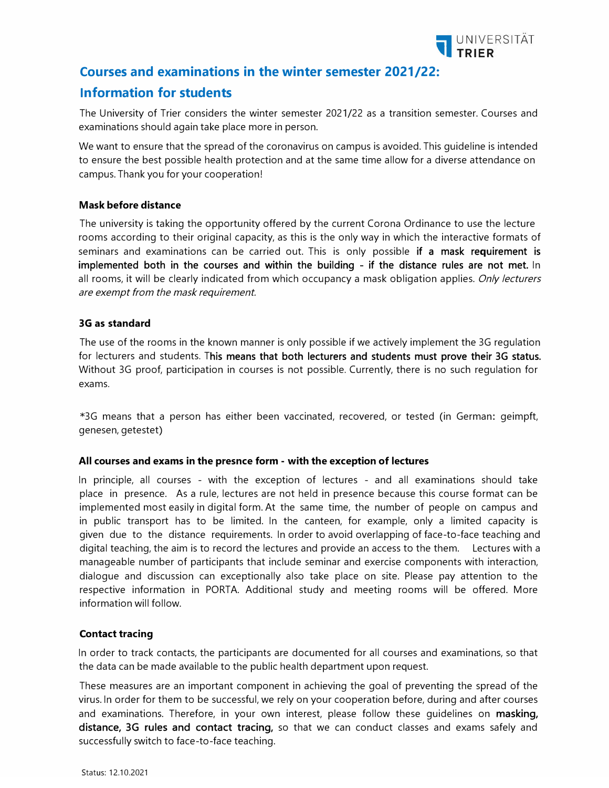

## **Courses and examinations in the winter semester 2021/22:**

# **Information for students**

The University of Trier considers the winter semester 2021/22 as a transition semester. Courses and examinations should again take place more in person.

We want to ensure that the spread of the coronavirus on campus is avoided. This guideline is intended to ensure the best possible health protection and at the same time allow for a diverse attendance on campus. Thank you for your cooperation!

## **Mask before distance**

The university is taking the opportunity offered by the current Corona Ordinance to use the lecture rooms according to their original capacity, as this is the only way in which the interactive formats of seminars and examinations can be carried out. This is only possible if a mask re**q**uirement is implemented both in the courses and within the building - if the distance rules are not met. In all rooms, it will be clearly indicated from which occupancy a mask obligation applies. Onl*y* lecturers are e*x*empt from the mask re*q*uirement.

## **3G as standard**

The use of the rooms in the known manner is only possible if we actively implement the 3G regulation for lecturers and students. This means that both lecturers and students must prove their 3G status. Without 3G proof, participation in courses is not possible. Currently, there is no such regulation for exams.

\*3G means that a person has either been vaccinated, recovered, or tested (in German: geimpft, genesen, getestet)

### **All courses and exams in the presnce form - with the exception of lectures**

In principle, all courses - with the exception of lectures - and all examinations should take place in presence. As a rule, lectures are not held in presence because this course format can be implemented most easily in digital form. At the same time, the number of people on campus and in public transport has to be limited. In the canteen, for example, only a limited capacity is given due to the distance requirements. In order to avoid overlapping of face-to-face teaching and digital teaching, the aim is to record the lectures and provide an access to the them. Lectures with a manageable number of participants that include seminar and exercise components with interaction, dialogue and discussion can exceptionally also take place on site. Please pay attention to the respective information in PORTA. Additional study and meeting rooms will be offered. More information will follow.

### **Contact tracing**

In order to track contacts, the participants are documented for all courses and examinations, so that the data can be made available to the public health department upon request.

These measures are an important component in achieving the goal of preventing the spread of the virus. In order for them to be successful, we rely on your cooperation before, during and after courses and examinations. Therefore, in your own interest, please follow these quidelines on masking, distance, 3G rules and contact tracing, so that we can conduct classes and exams safely and successfully switch to face-to-face teaching.